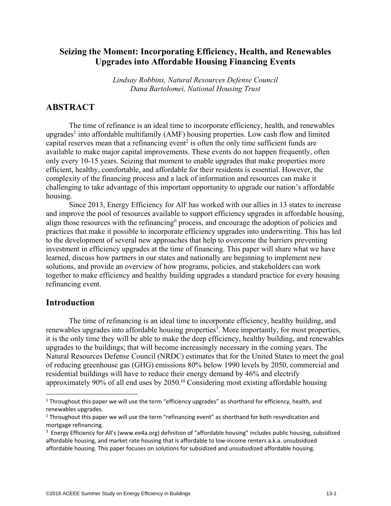# **Seizing the Moment: Incorporating Efficiency, Health, and Renewables Upgrades into Affordable Housing Financing Events**

*Lindsay Robbins, Natural Resources Defense Council Dana Bartolomei, National Housing Trust* 

## **ABSTRACT**

The time of refinance is an ideal time to incorporate efficiency, health, and renewables upgrades<sup>1</sup> into affordable multifamily (AMF) housing properties. Low cash flow and limited capital reserves mean that a refinancing event<sup>2</sup> is often the only time sufficient funds are available to make major capital improvements. These events do not happen frequently, often only every 10-15 years. Seizing that moment to enable upgrades that make properties more efficient, healthy, comfortable, and affordable for their residents is essential. However, the complexity of the financing process and a lack of information and resources can make it challenging to take advantage of this important opportunity to upgrade our nation's affordable housing.

Since 2013, Energy Efficiency for All<sup>i</sup> has worked with our allies in 13 states to increase and improve the pool of resources available to support efficiency upgrades in affordable housing, align those resources with the refinancingii process, and encourage the adoption of policies and practices that make it possible to incorporate efficiency upgrades into underwriting. This has led to the development of several new approaches that help to overcome the barriers preventing investment in efficiency upgrades at the time of financing. This paper will share what we have learned, discuss how partners in our states and nationally are beginning to implement new solutions, and provide an overview of how programs, policies, and stakeholders can work together to make efficiency and healthy building upgrades a standard practice for every housing refinancing event.

### **Introduction**

 $\overline{\phantom{a}}$ 

 The time of refinancing is an ideal time to incorporate efficiency, healthy building, and renewables upgrades into affordable housing properties<sup>3</sup>. More importantly, for most properties, it is the only time they will be able to make the deep efficiency, healthy building, and renewables upgrades to the buildings; that will become increasingly necessary in the coming years. The Natural Resources Defense Council (NRDC) estimates that for the United States to meet the goal of reducing greenhouse gas (GHG) emissions 80% below 1990 levels by 2050, commercial and residential buildings will have to reduce their energy demand by 46% and electrify approximately 90% of all end uses by 2050.<sup>iii</sup> Considering most existing affordable housing

<sup>&</sup>lt;sup>1</sup> Throughout this paper we will use the term "efficiency upgrades" as shorthand for efficiency, health, and renewables upgrades.

<sup>&</sup>lt;sup>2</sup> Throughout this paper we will use the term "refinancing event" as shorthand for both resyndication and mortgage refinancing.

<sup>&</sup>lt;sup>3</sup> Energy Efficiency for All's (www.ee4a.org) definition of "affordable housing" includes public housing, subsidized affordable housing, and market rate housing that is affordable to low-income renters a.k.a. unsubsidized affordable housing. This paper focuses on solutions for subsidized and unsubsidized affordable housing.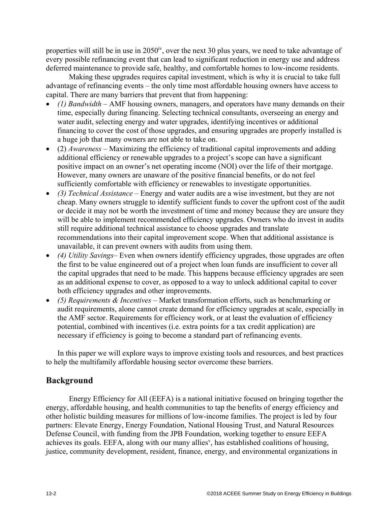properties will still be in use in  $2050<sup>iv</sup>$ , over the next 30 plus years, we need to take advantage of every possible refinancing event that can lead to significant reduction in energy use and address deferred maintenance to provide safe, healthy, and comfortable homes to low-income residents.

 Making these upgrades requires capital investment, which is why it is crucial to take full advantage of refinancing events – the only time most affordable housing owners have access to capital. There are many barriers that prevent that from happening:

- *(1) Bandwidth* AMF housing owners, managers, and operators have many demands on their time, especially during financing. Selecting technical consultants, overseeing an energy and water audit, selecting energy and water upgrades, identifying incentives or additional financing to cover the cost of those upgrades, and ensuring upgrades are properly installed is a huge job that many owners are not able to take on.
- (2) *Awareness* Maximizing the efficiency of traditional capital improvements and adding additional efficiency or renewable upgrades to a project's scope can have a significant positive impact on an owner's net operating income (NOI) over the life of their mortgage. However, many owners are unaware of the positive financial benefits, or do not feel sufficiently comfortable with efficiency or renewables to investigate opportunities.
- *(3) Technical Assistance* Energy and water audits are a wise investment, but they are not cheap. Many owners struggle to identify sufficient funds to cover the upfront cost of the audit or decide it may not be worth the investment of time and money because they are unsure they will be able to implement recommended efficiency upgrades. Owners who do invest in audits still require additional technical assistance to choose upgrades and translate recommendations into their capital improvement scope. When that additional assistance is unavailable, it can prevent owners with audits from using them.
- *(4) Utility Savings* Even when owners identify efficiency upgrades, those upgrades are often the first to be value engineered out of a project when loan funds are insufficient to cover all the capital upgrades that need to be made. This happens because efficiency upgrades are seen as an additional expense to cover, as opposed to a way to unlock additional capital to cover both efficiency upgrades and other improvements.
- *(5) Requirements & Incentives* Market transformation efforts, such as benchmarking or audit requirements, alone cannot create demand for efficiency upgrades at scale, especially in the AMF sector. Requirements for efficiency work, or at least the evaluation of efficiency potential, combined with incentives (i.e. extra points for a tax credit application) are necessary if efficiency is going to become a standard part of refinancing events.

In this paper we will explore ways to improve existing tools and resources, and best practices to help the multifamily affordable housing sector overcome these barriers.

## **Background**

 Energy Efficiency for All (EEFA) is a national initiative focused on bringing together the energy, affordable housing, and health communities to tap the benefits of energy efficiency and other holistic building measures for millions of low-income families. The project is led by four partners: Elevate Energy, Energy Foundation, National Housing Trust, and Natural Resources Defense Council, with funding from the JPB Foundation, working together to ensure EEFA achieves its goals. EEFA, along with our many allies<sup>v</sup>, has established coalitions of housing, justice, community development, resident, finance, energy, and environmental organizations in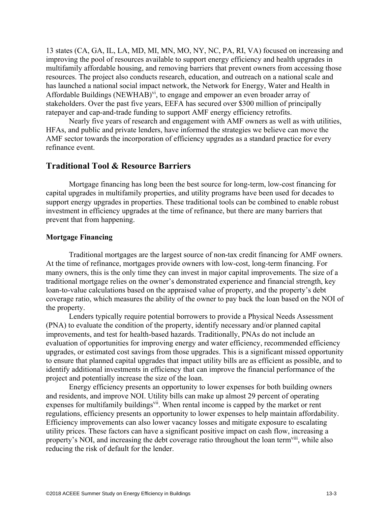13 states (CA, GA, IL, LA, MD, MI, MN, MO, NY, NC, PA, RI, VA) focused on increasing and improving the pool of resources available to support energy efficiency and health upgrades in multifamily affordable housing, and removing barriers that prevent owners from accessing those resources. The project also conducts research, education, and outreach on a national scale and has launched a national social impact network, the Network for Energy, Water and Health in Affordable Buildings (NEWHAB) $\rm{v}$ <sup>i</sup>, to engage and empower an even broader array of stakeholders. Over the past five years, EEFA has secured over \$300 million of principally ratepayer and cap-and-trade funding to support AMF energy efficiency retrofits.

Nearly five years of research and engagement with AMF owners as well as with utilities, HFAs, and public and private lenders, have informed the strategies we believe can move the AMF sector towards the incorporation of efficiency upgrades as a standard practice for every refinance event.

### **Traditional Tool & Resource Barriers**

Mortgage financing has long been the best source for long-term, low-cost financing for capital upgrades in multifamily properties, and utility programs have been used for decades to support energy upgrades in properties. These traditional tools can be combined to enable robust investment in efficiency upgrades at the time of refinance, but there are many barriers that prevent that from happening.

#### **Mortgage Financing**

Traditional mortgages are the largest source of non-tax credit financing for AMF owners. At the time of refinance, mortgages provide owners with low-cost, long-term financing. For many owners, this is the only time they can invest in major capital improvements. The size of a traditional mortgage relies on the owner's demonstrated experience and financial strength, key loan-to-value calculations based on the appraised value of property, and the property's debt coverage ratio, which measures the ability of the owner to pay back the loan based on the NOI of the property.

Lenders typically require potential borrowers to provide a Physical Needs Assessment (PNA) to evaluate the condition of the property, identify necessary and/or planned capital improvements, and test for health-based hazards. Traditionally, PNAs do not include an evaluation of opportunities for improving energy and water efficiency, recommended efficiency upgrades, or estimated cost savings from those upgrades. This is a significant missed opportunity to ensure that planned capital upgrades that impact utility bills are as efficient as possible, and to identify additional investments in efficiency that can improve the financial performance of the project and potentially increase the size of the loan.

Energy efficiency presents an opportunity to lower expenses for both building owners and residents, and improve NOI. Utility bills can make up almost 29 percent of operating expenses for multifamily buildings<sup>vii</sup>. When rental income is capped by the market or rent regulations, efficiency presents an opportunity to lower expenses to help maintain affordability. Efficiency improvements can also lower vacancy losses and mitigate exposure to escalating utility prices. These factors can have a significant positive impact on cash flow, increasing a property's NOI, and increasing the debt coverage ratio throughout the loan term<sup>viii</sup>, while also reducing the risk of default for the lender.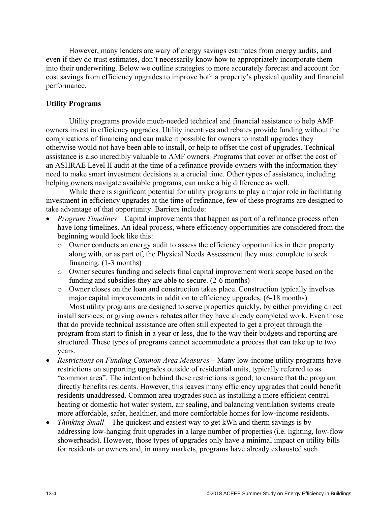However, many lenders are wary of energy savings estimates from energy audits, and even if they do trust estimates, don't necessarily know how to appropriately incorporate them into their underwriting. Below we outline strategies to more accurately forecast and account for cost savings from efficiency upgrades to improve both a property's physical quality and financial performance.

### **Utility Programs**

 Utility programs provide much-needed technical and financial assistance to help AMF owners invest in efficiency upgrades. Utility incentives and rebates provide funding without the complications of financing and can make it possible for owners to install upgrades they otherwise would not have been able to install, or help to offset the cost of upgrades. Technical assistance is also incredibly valuable to AMF owners. Programs that cover or offset the cost of an ASHRAE Level II audit at the time of a refinance provide owners with the information they need to make smart investment decisions at a crucial time. Other types of assistance, including helping owners navigate available programs, can make a big difference as well.

 While there is significant potential for utility programs to play a major role in facilitating investment in efficiency upgrades at the time of refinance, few of these programs are designed to take advantage of that opportunity. Barriers include:

- *Program Timelines* Capital improvements that happen as part of a refinance process often have long timelines. An ideal process, where efficiency opportunities are considered from the beginning would look like this:
	- o Owner conducts an energy audit to assess the efficiency opportunities in their property along with, or as part of, the Physical Needs Assessment they must complete to seek financing. (1-3 months)
	- o Owner secures funding and selects final capital improvement work scope based on the funding and subsidies they are able to secure. (2-6 months)
	- o Owner closes on the loan and construction takes place. Construction typically involves major capital improvements in addition to efficiency upgrades. (6-18 months)

Most utility programs are designed to serve properties quickly, by either providing direct install services, or giving owners rebates after they have already completed work. Even those that do provide technical assistance are often still expected to get a project through the program from start to finish in a year or less, due to the way their budgets and reporting are structured. These types of programs cannot accommodate a process that can take up to two years.

- *Restrictions on Funding Common Area Measures* Many low-income utility programs have restrictions on supporting upgrades outside of residential units, typically referred to as "common area". The intention behind these restrictions is good; to ensure that the program directly benefits residents. However, this leaves many efficiency upgrades that could benefit residents unaddressed. Common area upgrades such as installing a more efficient central heating or domestic hot water system, air sealing, and balancing ventilation systems create more affordable, safer, healthier, and more comfortable homes for low-income residents.
- *Thinking Small* The quickest and easiest way to get kWh and therm savings is by addressing low-hanging fruit upgrades in a large number of properties (i.e. lighting, low-flow showerheads). However, those types of upgrades only have a minimal impact on utility bills for residents or owners and, in many markets, programs have already exhausted such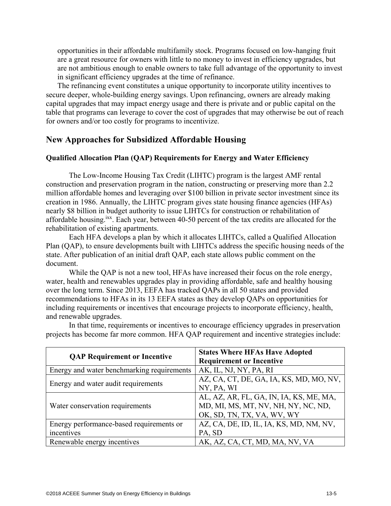opportunities in their affordable multifamily stock. Programs focused on low-hanging fruit are a great resource for owners with little to no money to invest in efficiency upgrades, but are not ambitious enough to enable owners to take full advantage of the opportunity to invest in significant efficiency upgrades at the time of refinance.

The refinancing event constitutes a unique opportunity to incorporate utility incentives to secure deeper, whole-building energy savings. Upon refinancing, owners are already making capital upgrades that may impact energy usage and there is private and or public capital on the table that programs can leverage to cover the cost of upgrades that may otherwise be out of reach for owners and/or too costly for programs to incentivize.

## **New Approaches for Subsidized Affordable Housing**

#### **Qualified Allocation Plan (QAP) Requirements for Energy and Water Efficiency**

The Low-Income Housing Tax Credit (LIHTC) program is the largest AMF rental construction and preservation program in the nation, constructing or preserving more than 2.2 million affordable homes and leveraging over \$100 billion in private sector investment since its creation in 1986. Annually, the LIHTC program gives state housing finance agencies (HFAs) nearly \$8 billion in budget authority to issue LIHTCs for construction or rehabilitation of affordable housing.ixx. Each year, between 40-50 percent of the tax credits are allocated for the rehabilitation of existing apartments.

Each HFA develops a plan by which it allocates LIHTCs, called a Qualified Allocation Plan (QAP), to ensure developments built with LIHTCs address the specific housing needs of the state. After publication of an initial draft QAP, each state allows public comment on the document.

While the QAP is not a new tool, HFAs have increased their focus on the role energy, water, health and renewables upgrades play in providing affordable, safe and healthy housing over the long term. Since 2013, EEFA has tracked QAPs in all 50 states and provided recommendations to HFAs in its 13 EEFA states as they develop QAPs on opportunities for including requirements or incentives that encourage projects to incorporate efficiency, health, and renewable upgrades.

|                                            | <b>States Where HFAs Have Adopted</b>   |  |
|--------------------------------------------|-----------------------------------------|--|
| <b>QAP Requirement or Incentive</b>        | <b>Requirement or Incentive</b>         |  |
| Energy and water benchmarking requirements | AK, IL, NJ, NY, PA, RI                  |  |
| Energy and water audit requirements        | AZ, CA, CT, DE, GA, IA, KS, MD, MO, NV, |  |
|                                            | NY, PA, WI                              |  |
| Water conservation requirements            | AL, AZ, AR, FL, GA, IN, IA, KS, ME, MA, |  |
|                                            | MD, MI, MS, MT, NV, NH, NY, NC, ND,     |  |
|                                            | OK, SD, TN, TX, VA, WV, WY              |  |
| Energy performance-based requirements or   | AZ, CA, DE, ID, IL, IA, KS, MD, NM, NV, |  |
| incentives                                 | PA, SD                                  |  |
| Renewable energy incentives                | AK, AZ, CA, CT, MD, MA, NV, VA          |  |

In that time, requirements or incentives to encourage efficiency upgrades in preservation projects has become far more common. HFA QAP requirement and incentive strategies include: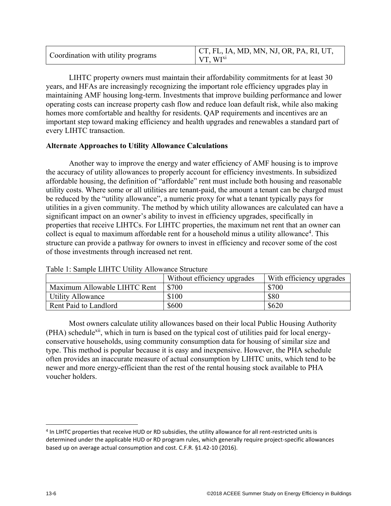| Coordination with utility programs | $\vert$ CT, FL, IA, MD, MN, NJ, OR, PA, RI, UT, |
|------------------------------------|-------------------------------------------------|
|                                    | VT WI <sup>x1</sup>                             |

LIHTC property owners must maintain their affordability commitments for at least 30 years, and HFAs are increasingly recognizing the important role efficiency upgrades play in maintaining AMF housing long-term. Investments that improve building performance and lower operating costs can increase property cash flow and reduce loan default risk, while also making homes more comfortable and healthy for residents. QAP requirements and incentives are an important step toward making efficiency and health upgrades and renewables a standard part of every LIHTC transaction.

### **Alternate Approaches to Utility Allowance Calculations**

Another way to improve the energy and water efficiency of AMF housing is to improve the accuracy of utility allowances to properly account for efficiency investments. In subsidized affordable housing, the definition of "affordable" rent must include both housing and reasonable utility costs. Where some or all utilities are tenant-paid, the amount a tenant can be charged must be reduced by the "utility allowance", a numeric proxy for what a tenant typically pays for utilities in a given community. The method by which utility allowances are calculated can have a significant impact on an owner's ability to invest in efficiency upgrades, specifically in properties that receive LIHTCs. For LIHTC properties, the maximum net rent that an owner can collect is equal to maximum affordable rent for a household minus a utility allowance<sup>4</sup>. This structure can provide a pathway for owners to invest in efficiency and recover some of the cost of those investments through increased net rent.

| $10010$ 11 UWIIDIV EIIII U UVIIIVI I IIIU IIWIIVV UVIVVVVI V |                             |                          |
|--------------------------------------------------------------|-----------------------------|--------------------------|
|                                                              | Without efficiency upgrades | With efficiency upgrades |
| Maximum Allowable LIHTC Rent                                 | \$700                       | \$700                    |
| <b>Utility Allowance</b>                                     | \$100                       | \$80                     |
| Rent Paid to Landlord                                        | \$600                       | \$620                    |

Table 1: Sample LIHTC Utility Allowance Structure

Most owners calculate utility allowances based on their local Public Housing Authority (PHA) schedule<sup>xii</sup>, which in turn is based on the typical cost of utilities paid for local energyconservative households, using community consumption data for housing of similar size and type. This method is popular because it is easy and inexpensive. However, the PHA schedule often provides an inaccurate measure of actual consumption by LIHTC units, which tend to be newer and more energy-efficient than the rest of the rental housing stock available to PHA voucher holders.

 $\overline{a}$ 

<sup>&</sup>lt;sup>4</sup> In LIHTC properties that receive HUD or RD subsidies, the utility allowance for all rent-restricted units is determined under the applicable HUD or RD program rules, which generally require project-specific allowances based up on average actual consumption and cost. C.F.R. §1.42-10 (2016).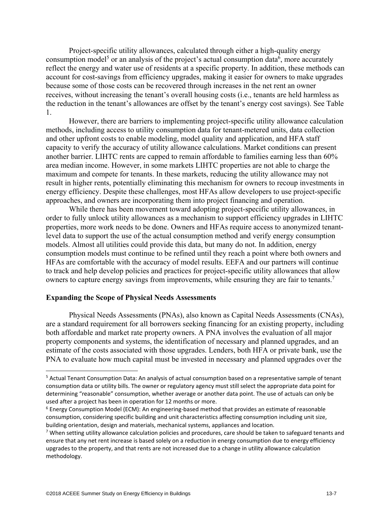Project-specific utility allowances, calculated through either a high-quality energy consumption model<sup>5</sup> or an analysis of the project's actual consumption data<sup>6</sup>, more accurately reflect the energy and water use of residents at a specific property. In addition, these methods can account for cost-savings from efficiency upgrades, making it easier for owners to make upgrades because some of those costs can be recovered through increases in the net rent an owner receives, without increasing the tenant's overall housing costs (i.e., tenants are held harmless as the reduction in the tenant's allowances are offset by the tenant's energy cost savings). See Table 1.

However, there are barriers to implementing project-specific utility allowance calculation methods, including access to utility consumption data for tenant-metered units, data collection and other upfront costs to enable modeling, model quality and application, and HFA staff capacity to verify the accuracy of utility allowance calculations. Market conditions can present another barrier. LIHTC rents are capped to remain affordable to families earning less than 60% area median income. However, in some markets LIHTC properties are not able to charge the maximum and compete for tenants. In these markets, reducing the utility allowance may not result in higher rents, potentially eliminating this mechanism for owners to recoup investments in energy efficiency. Despite these challenges, most HFAs allow developers to use project-specific approaches, and owners are incorporating them into project financing and operation.

While there has been movement toward adopting project-specific utility allowances, in order to fully unlock utility allowances as a mechanism to support efficiency upgrades in LIHTC properties, more work needs to be done. Owners and HFAs require access to anonymized tenantlevel data to support the use of the actual consumption method and verify energy consumption models. Almost all utilities could provide this data, but many do not. In addition, energy consumption models must continue to be refined until they reach a point where both owners and HFAs are comfortable with the accuracy of model results. EEFA and our partners will continue to track and help develop policies and practices for project-specific utility allowances that allow owners to capture energy savings from improvements, while ensuring they are fair to tenants.<sup>7</sup>

#### **Expanding the Scope of Physical Needs Assessments**

Physical Needs Assessments (PNAs), also known as Capital Needs Assessments (CNAs), are a standard requirement for all borrowers seeking financing for an existing property, including both affordable and market rate property owners. A PNA involves the evaluation of all major property components and systems, the identification of necessary and planned upgrades, and an estimate of the costs associated with those upgrades. Lenders, both HFA or private bank, use the PNA to evaluate how much capital must be invested in necessary and planned upgrades over the

 $\overline{\phantom{a}}$ 

<sup>&</sup>lt;sup>5</sup> Actual Tenant Consumption Data: An analysis of actual consumption based on a representative sample of tenant consumption data or utility bills. The owner or regulatory agency must still select the appropriate data point for determining "reasonable" consumption, whether average or another data point. The use of actuals can only be used after a project has been in operation for 12 months or more.

 $6$  Energy Consumption Model (ECM): An engineering-based method that provides an estimate of reasonable consumption, considering specific building and unit characteristics affecting consumption including unit size, building orientation, design and materials, mechanical systems, appliances and location. 7

 $\frac{7}{1}$  When setting utility allowance calculation policies and procedures, care should be taken to safeguard tenants and ensure that any net rent increase is based solely on a reduction in energy consumption due to energy efficiency upgrades to the property, and that rents are not increased due to a change in utility allowance calculation methodology.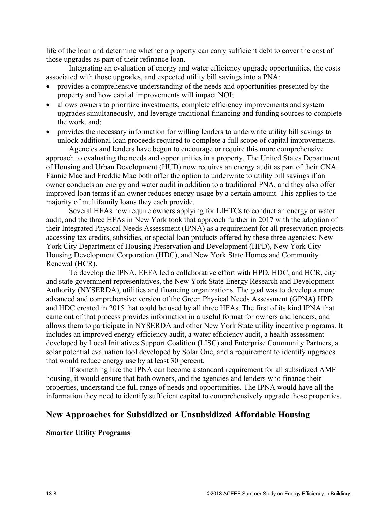life of the loan and determine whether a property can carry sufficient debt to cover the cost of those upgrades as part of their refinance loan.

Integrating an evaluation of energy and water efficiency upgrade opportunities, the costs associated with those upgrades, and expected utility bill savings into a PNA:

- provides a comprehensive understanding of the needs and opportunities presented by the property and how capital improvements will impact NOI;
- allows owners to prioritize investments, complete efficiency improvements and system upgrades simultaneously, and leverage traditional financing and funding sources to complete the work, and;
- provides the necessary information for willing lenders to underwrite utility bill savings to unlock additional loan proceeds required to complete a full scope of capital improvements.

Agencies and lenders have begun to encourage or require this more comprehensive approach to evaluating the needs and opportunities in a property. The United States Department of Housing and Urban Development (HUD) now requires an energy audit as part of their CNA. Fannie Mae and Freddie Mac both offer the option to underwrite to utility bill savings if an owner conducts an energy and water audit in addition to a traditional PNA, and they also offer improved loan terms if an owner reduces energy usage by a certain amount. This applies to the majority of multifamily loans they each provide.

Several HFAs now require owners applying for LIHTCs to conduct an energy or water audit, and the three HFAs in New York took that approach further in 2017 with the adoption of their Integrated Physical Needs Assessment (IPNA) as a requirement for all preservation projects accessing tax credits, subsidies, or special loan products offered by these three agencies: New York City Department of Housing Preservation and Development (HPD), New York City Housing Development Corporation (HDC), and New York State Homes and Community Renewal (HCR).

To develop the IPNA, EEFA led a collaborative effort with HPD, HDC, and HCR, city and state government representatives, the New York State Energy Research and Development Authority (NYSERDA), utilities and financing organizations. The goal was to develop a more advanced and comprehensive version of the Green Physical Needs Assessment (GPNA) HPD and HDC created in 2015 that could be used by all three HFAs. The first of its kind IPNA that came out of that process provides information in a useful format for owners and lenders, and allows them to participate in NYSERDA and other New York State utility incentive programs. It includes an improved energy efficiency audit, a water efficiency audit, a health assessment developed by Local Initiatives Support Coalition (LISC) and Enterprise Community Partners, a solar potential evaluation tool developed by Solar One, and a requirement to identify upgrades that would reduce energy use by at least 30 percent.

If something like the IPNA can become a standard requirement for all subsidized AMF housing, it would ensure that both owners, and the agencies and lenders who finance their properties, understand the full range of needs and opportunities. The IPNA would have all the information they need to identify sufficient capital to comprehensively upgrade those properties.

#### **New Approaches for Subsidized or Unsubsidized Affordable Housing**

#### **Smarter Utility Programs**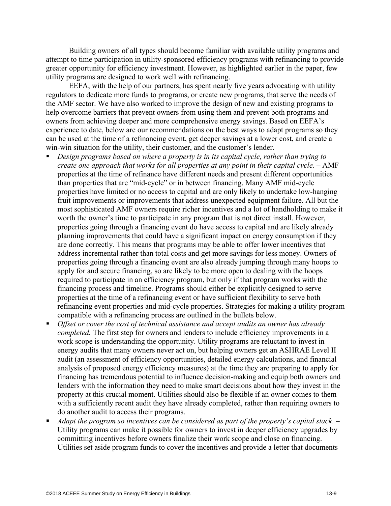Building owners of all types should become familiar with available utility programs and attempt to time participation in utility-sponsored efficiency programs with refinancing to provide greater opportunity for efficiency investment. However, as highlighted earlier in the paper, few utility programs are designed to work well with refinancing.

EEFA, with the help of our partners, has spent nearly five years advocating with utility regulators to dedicate more funds to programs, or create new programs, that serve the needs of the AMF sector. We have also worked to improve the design of new and existing programs to help overcome barriers that prevent owners from using them and prevent both programs and owners from achieving deeper and more comprehensive energy savings. Based on EEFA's experience to date, below are our recommendations on the best ways to adapt programs so they can be used at the time of a refinancing event, get deeper savings at a lower cost, and create a win-win situation for the utility, their customer, and the customer's lender.

- *Design programs based on where a property is in its capital cycle, rather than trying to create one approach that works for all properties at any point in their capital cycle*. – AMF properties at the time of refinance have different needs and present different opportunities than properties that are "mid-cycle" or in between financing. Many AMF mid-cycle properties have limited or no access to capital and are only likely to undertake low-hanging fruit improvements or improvements that address unexpected equipment failure. All but the most sophisticated AMF owners require richer incentives and a lot of handholding to make it worth the owner's time to participate in any program that is not direct install. However, properties going through a financing event do have access to capital and are likely already planning improvements that could have a significant impact on energy consumption if they are done correctly. This means that programs may be able to offer lower incentives that address incremental rather than total costs and get more savings for less money. Owners of properties going through a financing event are also already jumping through many hoops to apply for and secure financing, so are likely to be more open to dealing with the hoops required to participate in an efficiency program, but only if that program works with the financing process and timeline. Programs should either be explicitly designed to serve properties at the time of a refinancing event or have sufficient flexibility to serve both refinancing event properties and mid-cycle properties. Strategies for making a utility program compatible with a refinancing process are outlined in the bullets below.
- *Offset or cover the cost of technical assistance and accept audits an owner has already completed.* The first step for owners and lenders to include efficiency improvements in a work scope is understanding the opportunity. Utility programs are reluctant to invest in energy audits that many owners never act on, but helping owners get an ASHRAE Level II audit (an assessment of efficiency opportunities, detailed energy calculations, and financial analysis of proposed energy efficiency measures) at the time they are preparing to apply for financing has tremendous potential to influence decision-making and equip both owners and lenders with the information they need to make smart decisions about how they invest in the property at this crucial moment. Utilities should also be flexible if an owner comes to them with a sufficiently recent audit they have already completed, rather than requiring owners to do another audit to access their programs.
- *Adapt the program so incentives can be considered as part of the property's capital stack*. Utility programs can make it possible for owners to invest in deeper efficiency upgrades by committing incentives before owners finalize their work scope and close on financing. Utilities set aside program funds to cover the incentives and provide a letter that documents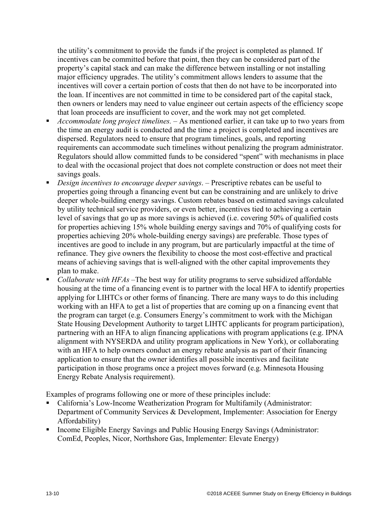the utility's commitment to provide the funds if the project is completed as planned. If incentives can be committed before that point, then they can be considered part of the property's capital stack and can make the difference between installing or not installing major efficiency upgrades. The utility's commitment allows lenders to assume that the incentives will cover a certain portion of costs that then do not have to be incorporated into the loan. If incentives are not committed in time to be considered part of the capital stack, then owners or lenders may need to value engineer out certain aspects of the efficiency scope that loan proceeds are insufficient to cover, and the work may not get completed.

- *Accommodate long project timelines.*  As mentioned earlier, it can take up to two years from the time an energy audit is conducted and the time a project is completed and incentives are dispersed. Regulators need to ensure that program timelines, goals, and reporting requirements can accommodate such timelines without penalizing the program administrator. Regulators should allow committed funds to be considered "spent" with mechanisms in place to deal with the occasional project that does not complete construction or does not meet their savings goals.
- *Design incentives to encourage deeper savings*. Prescriptive rebates can be useful to properties going through a financing event but can be constraining and are unlikely to drive deeper whole-building energy savings. Custom rebates based on estimated savings calculated by utility technical service providers, or even better, incentives tied to achieving a certain level of savings that go up as more savings is achieved (i.e. covering 50% of qualified costs for properties achieving 15% whole building energy savings and 70% of qualifying costs for properties achieving 20% whole-building energy savings) are preferable. Those types of incentives are good to include in any program, but are particularly impactful at the time of refinance. They give owners the flexibility to choose the most cost-effective and practical means of achieving savings that is well-aligned with the other capital improvements they plan to make.
- *Collaborate with HFAs* –The best way for utility programs to serve subsidized affordable housing at the time of a financing event is to partner with the local HFA to identify properties applying for LIHTCs or other forms of financing. There are many ways to do this including working with an HFA to get a list of properties that are coming up on a financing event that the program can target (e.g. Consumers Energy's commitment to work with the Michigan State Housing Development Authority to target LIHTC applicants for program participation), partnering with an HFA to align financing applications with program applications (e.g. IPNA alignment with NYSERDA and utility program applications in New York), or collaborating with an HFA to help owners conduct an energy rebate analysis as part of their financing application to ensure that the owner identifies all possible incentives and facilitate participation in those programs once a project moves forward (e.g. Minnesota Housing Energy Rebate Analysis requirement).

Examples of programs following one or more of these principles include:

- California's Low-Income Weatherization Program for Multifamily (Administrator: Department of Community Services & Development, Implementer: Association for Energy Affordability)
- Income Eligible Energy Savings and Public Housing Energy Savings (Administrator: ComEd, Peoples, Nicor, Northshore Gas, Implementer: Elevate Energy)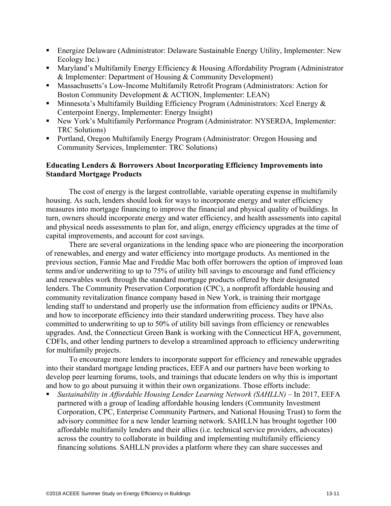- Energize Delaware (Administrator: Delaware Sustainable Energy Utility, Implementer: New Ecology Inc.)
- Maryland's Multifamily Energy Efficiency & Housing Affordability Program (Administrator & Implementer: Department of Housing & Community Development)
- Massachusetts's Low-Income Multifamily Retrofit Program (Administrators: Action for Boston Community Development & ACTION, Implementer: LEAN)
- Minnesota's Multifamily Building Efficiency Program (Administrators: Xcel Energy & Centerpoint Energy, Implementer: Energy Insight)
- New York's Multifamily Performance Program (Administrator: NYSERDA, Implementer: TRC Solutions)
- Portland, Oregon Multifamily Energy Program (Administrator: Oregon Housing and Community Services, Implementer: TRC Solutions)

### **Educating Lenders & Borrowers About Incorporating Efficiency Improvements into Standard Mortgage Products**

 The cost of energy is the largest controllable, variable operating expense in multifamily housing. As such, lenders should look for ways to incorporate energy and water efficiency measures into mortgage financing to improve the financial and physical quality of buildings. In turn, owners should incorporate energy and water efficiency, and health assessments into capital and physical needs assessments to plan for, and align, energy efficiency upgrades at the time of capital improvements, and account for cost savings.

There are several organizations in the lending space who are pioneering the incorporation of renewables, and energy and water efficiency into mortgage products. As mentioned in the previous section, Fannie Mae and Freddie Mac both offer borrowers the option of improved loan terms and/or underwriting to up to 75% of utility bill savings to encourage and fund efficiency and renewables work through the standard mortgage products offered by their designated lenders. The Community Preservation Corporation (CPC), a nonprofit affordable housing and community revitalization finance company based in New York, is training their mortgage lending staff to understand and properly use the information from efficiency audits or IPNAs, and how to incorporate efficiency into their standard underwriting process. They have also committed to underwriting to up to 50% of utility bill savings from efficiency or renewables upgrades. And, the Connecticut Green Bank is working with the Connecticut HFA, government, CDFIs, and other lending partners to develop a streamlined approach to efficiency underwriting for multifamily projects.

 To encourage more lenders to incorporate support for efficiency and renewable upgrades into their standard mortgage lending practices, EEFA and our partners have been working to develop peer learning forums, tools, and trainings that educate lenders on why this is important and how to go about pursuing it within their own organizations. Those efforts include:

 *Sustainability in Affordable Housing Lender Learning Network (SAHLLN)* – In 2017, EEFA partnered with a group of leading affordable housing lenders (Community Investment Corporation, CPC, Enterprise Community Partners, and National Housing Trust) to form the advisory committee for a new lender learning network. SAHLLN has brought together 100 affordable multifamily lenders and their allies (i.e. technical service providers, advocates) across the country to collaborate in building and implementing multifamily efficiency financing solutions. SAHLLN provides a platform where they can share successes and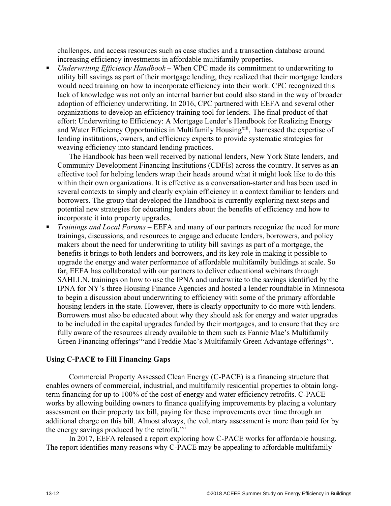challenges, and access resources such as case studies and a transaction database around increasing efficiency investments in affordable multifamily properties.

 *Underwriting Efficiency Handbook* – When CPC made its commitment to underwriting to utility bill savings as part of their mortgage lending, they realized that their mortgage lenders would need training on how to incorporate efficiency into their work. CPC recognized this lack of knowledge was not only an internal barrier but could also stand in the way of broader adoption of efficiency underwriting. In 2016, CPC partnered with EEFA and several other organizations to develop an efficiency training tool for lenders. The final product of that effort: Underwriting to Efficiency: A Mortgage Lender's Handbook for Realizing Energy and Water Efficiency Opportunities in Multifamily Housing<sup>xiii</sup>, harnessed the expertise of lending institutions, owners, and efficiency experts to provide systematic strategies for weaving efficiency into standard lending practices.

The Handbook has been well received by national lenders, New York State lenders, and Community Development Financing Institutions (CDFIs) across the country. It serves as an effective tool for helping lenders wrap their heads around what it might look like to do this within their own organizations. It is effective as a conversation-starter and has been used in several contexts to simply and clearly explain efficiency in a context familiar to lenders and borrowers. The group that developed the Handbook is currently exploring next steps and potential new strategies for educating lenders about the benefits of efficiency and how to incorporate it into property upgrades.

 *Trainings and Local Forums* – EEFA and many of our partners recognize the need for more trainings, discussions, and resources to engage and educate lenders, borrowers, and policy makers about the need for underwriting to utility bill savings as part of a mortgage, the benefits it brings to both lenders and borrowers, and its key role in making it possible to upgrade the energy and water performance of affordable multifamily buildings at scale. So far, EEFA has collaborated with our partners to deliver educational webinars through SAHLLN, trainings on how to use the IPNA and underwrite to the savings identified by the IPNA for NY's three Housing Finance Agencies and hosted a lender roundtable in Minnesota to begin a discussion about underwriting to efficiency with some of the primary affordable housing lenders in the state. However, there is clearly opportunity to do more with lenders. Borrowers must also be educated about why they should ask for energy and water upgrades to be included in the capital upgrades funded by their mortgages, and to ensure that they are fully aware of the resources already available to them such as Fannie Mae's Multifamily Green Financing offerings<sup>xiv</sup>and Freddie Mac's Multifamily Green Advantage offerings<sup>xv</sup>.

#### **Using C-PACE to Fill Financing Gaps**

Commercial Property Assessed Clean Energy (C-PACE) is a financing structure that enables owners of commercial, industrial, and multifamily residential properties to obtain longterm financing for up to 100% of the cost of energy and water efficiency retrofits. C-PACE works by allowing building owners to finance qualifying improvements by placing a voluntary assessment on their property tax bill, paying for these improvements over time through an additional charge on this bill. Almost always, the voluntary assessment is more than paid for by the energy savings produced by the retrofit. $x<sup>vi</sup>$ 

In 2017, EEFA released a report exploring how C-PACE works for affordable housing. The report identifies many reasons why C-PACE may be appealing to affordable multifamily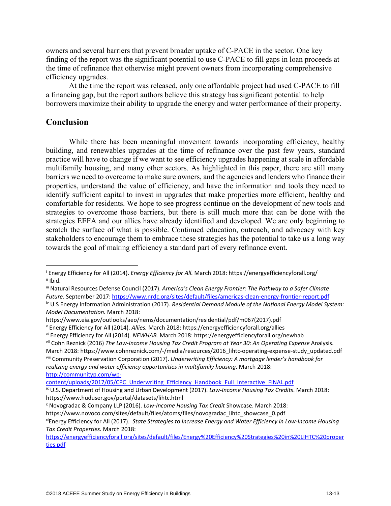owners and several barriers that prevent broader uptake of C-PACE in the sector. One key finding of the report was the significant potential to use C-PACE to fill gaps in loan proceeds at the time of refinance that otherwise might prevent owners from incorporating comprehensive efficiency upgrades.

At the time the report was released, only one affordable project had used C-PACE to fill a financing gap, but the report authors believe this strategy has significant potential to help borrowers maximize their ability to upgrade the energy and water performance of their property.

### **Conclusion**

 $\overline{\phantom{a}}$ 

While there has been meaningful movement towards incorporating efficiency, healthy building, and renewables upgrades at the time of refinance over the past few years, standard practice will have to change if we want to see efficiency upgrades happening at scale in affordable multifamily housing, and many other sectors. As highlighted in this paper, there are still many barriers we need to overcome to make sure owners, and the agencies and lenders who finance their properties, understand the value of efficiency, and have the information and tools they need to identify sufficient capital to invest in upgrades that make properties more efficient, healthy and comfortable for residents. We hope to see progress continue on the development of new tools and strategies to overcome those barriers, but there is still much more that can be done with the strategies EEFA and our allies have already identified and developed. We are only beginning to scratch the surface of what is possible. Continued education, outreach, and advocacy with key stakeholders to encourage them to embrace these strategies has the potential to take us a long way towards the goal of making efficiency a standard part of every refinance event.

https://energyefficiencyforall.org/sites/default/files/Energy%20Efficiency%20Strategies%20in%20LIHTC%20proper ties.pdf

<sup>&</sup>lt;sup>i</sup> Energy Efficiency for All (2014). *Energy Efficiency for All. M*arch 2018: https://energyefficiencyforall.org/<br><sup>ii</sup> Ibid.

iii Natural Resources Defense Council (2017). *America's Clean Energy Frontier: The Pathway to a Safer Climate Future*. September 2017: https://www.nrdc.org/sites/default/files/americas-clean-energy-frontier-report.pdf

iv U.S Energy Information Administration (2017). *Residential Demand Module of the National Energy Model System: Model Documentation.* March 2018:

https://www.eia.gov/outlooks/aeo/nems/documentation/residential/pdf/m067(2017).pdf<br>
v Energy Efficiency for All (2014). Allies. March 2018: https://energyefficiencyforall.org/allies

vi Energy Efficiency for All (2014). NEWHAB. March 2018: https://energyefficiencyforall.org/newhab<br>vii Cohn Reznick (2016) The Low-Income Housing Tax Credit Program at Year 30: An Operating Expense Analysis.

March 2018: https://www.cohnreznick.com/-/media/resources/2016\_lihtc-operating-expense-study\_updated.pdf viii Community Preservation Corporation (2017). *Underwriting Efficiency: A mortgage lender's handbook for realizing energy and water efficiency opportunities in multifamily housing*. March 2018: http://communityp.com/wp-

content/uploads/2017/05/CPC\_Underwriting\_Efficiency\_Handbook\_Full\_Interactive\_FINAL.pdf ix U.S. Department of Housing and Urban Development (2017). *Low‐Income Housing Tax Credits*. March 2018: https://www.huduser.gov/portal/datasets/lihtc.html x

Novogradac & Company LLP (2016). *Low‐Income Housing Tax Credit* Showcase. March 2018:

<sup>&</sup>lt;sup>xi</sup>Energy Efficiency for All (2017). *State Strategies to Increase Energy and Water Efficiency in Low‐Income Housing Tax Credit Properties.* March 2018: